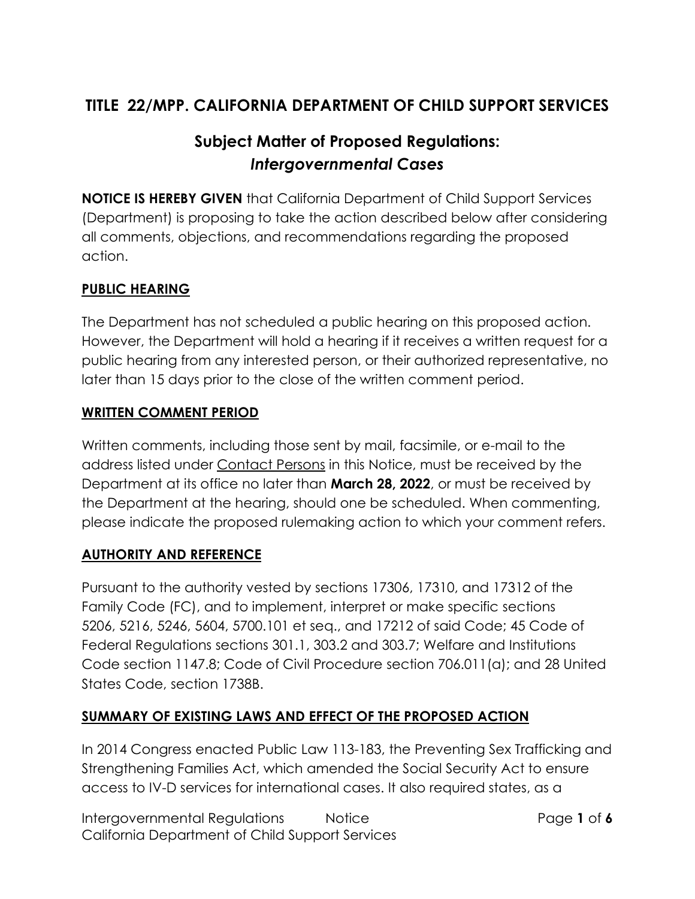# **TITLE 22/MPP. CALIFORNIA DEPARTMENT OF CHILD SUPPORT SERVICES**

# **Subject Matter of Proposed Regulations:** *Intergovernmental Cases*

**NOTICE IS HEREBY GIVEN** that California Department of Child Support Services (Department) is proposing to take the action described below after considering all comments, objections, and recommendations regarding the proposed action.

#### **PUBLIC HEARING**

The Department has not scheduled a public hearing on this proposed action. However, the Department will hold a hearing if it receives a written request for a public hearing from any interested person, or their authorized representative, no later than 15 days prior to the close of the written comment period.

#### **WRITTEN COMMENT PERIOD**

Written comments, including those sent by mail, facsimile, or e-mail to the address listed under Contact Persons in this Notice, must be received by the Department at its office no later than **March 28, 2022**, or must be received by the Department at the hearing, should one be scheduled. When commenting, please indicate the proposed rulemaking action to which your comment refers.

#### **AUTHORITY AND REFERENCE**

Pursuant to the authority vested by sections 17306, 17310, and 17312 of the Family Code (FC), and to implement, interpret or make specific sections 5206, 5216, 5246, 5604, 5700.101 et seq., and 17212 of said Code; 45 Code of Federal Regulations sections 301.1, 303.2 and 303.7; Welfare and Institutions Code section 1147.8; Code of Civil Procedure section 706.011(a); and 28 United States Code, section 1738B.

#### **SUMMARY OF EXISTING LAWS AND EFFECT OF THE PROPOSED ACTION**

In 2014 Congress enacted Public Law 113-183, the Preventing Sex Trafficking and Strengthening Families Act, which amended the Social Security Act to ensure access to IV-D services for international cases. It also required states, as a

Intergovernmental Regulations Notice Page **1** of **6** California Department of Child Support Services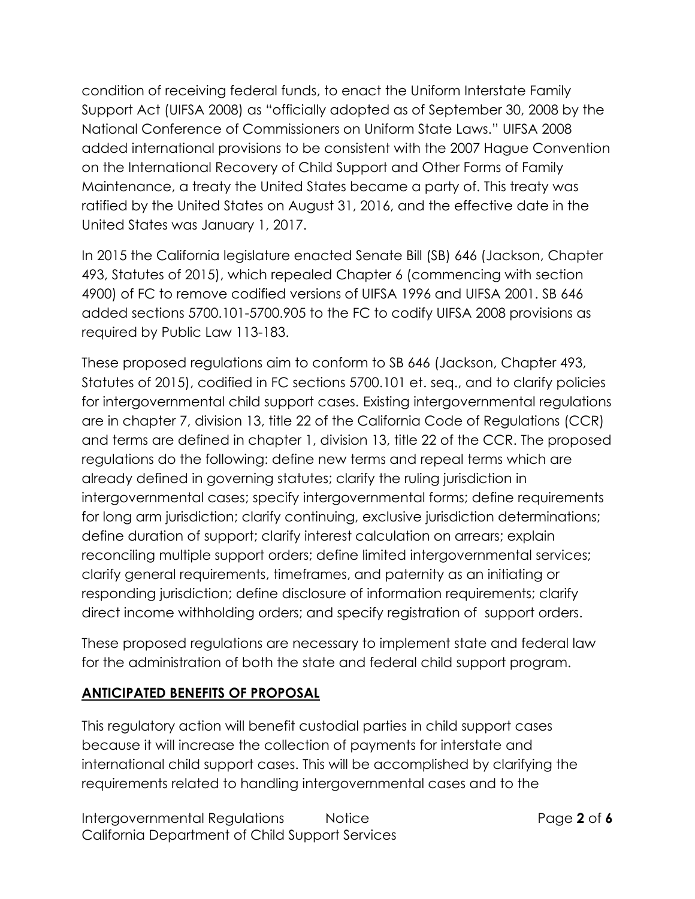condition of receiving federal funds, to enact the Uniform Interstate Family Support Act (UIFSA 2008) as "officially adopted as of September 30, 2008 by the National Conference of Commissioners on Uniform State Laws." UIFSA 2008 added international provisions to be consistent with the 2007 Hague Convention on the International Recovery of Child Support and Other Forms of Family Maintenance, a treaty the United States became a party of. This treaty was ratified by the United States on August 31, 2016, and the effective date in the United States was January 1, 2017.

In 2015 the California legislature enacted Senate Bill (SB) 646 (Jackson, Chapter 493, Statutes of 2015), which repealed Chapter 6 (commencing with section 4900) of FC to remove codified versions of UIFSA 1996 and UIFSA 2001. SB 646 added sections 5700.101-5700.905 to the FC to codify UIFSA 2008 provisions as required by Public Law 113-183.

These proposed regulations aim to conform to SB 646 (Jackson, Chapter 493, Statutes of 2015), codified in FC sections 5700.101 et. seq., and to clarify policies for intergovernmental child support cases. Existing intergovernmental regulations are in chapter 7, division 13, title 22 of the California Code of Regulations (CCR) and terms are defined in chapter 1, division 13, title 22 of the CCR. The proposed regulations do the following: define new terms and repeal terms which are already defined in governing statutes; clarify the ruling jurisdiction in intergovernmental cases; specify intergovernmental forms; define requirements for long arm jurisdiction; clarify continuing, exclusive jurisdiction determinations; define duration of support; clarify interest calculation on arrears; explain reconciling multiple support orders; define limited intergovernmental services; clarify general requirements, timeframes, and paternity as an initiating or responding jurisdiction; define disclosure of information requirements; clarify direct income withholding orders; and specify registration of support orders.

These proposed regulations are necessary to implement state and federal law for the administration of both the state and federal child support program.

#### **ANTICIPATED BENEFITS OF PROPOSAL**

This regulatory action will benefit custodial parties in child support cases because it will increase the collection of payments for interstate and international child support cases. This will be accomplished by clarifying the requirements related to handling intergovernmental cases and to the

Intergovernmental Regulations Notice Page **2** of **6** California Department of Child Support Services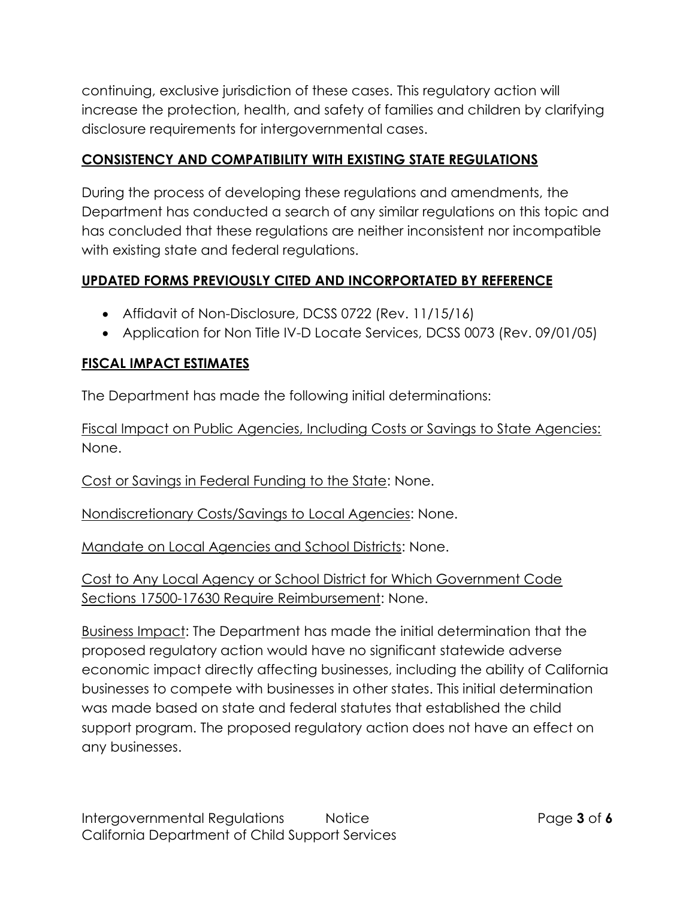continuing, exclusive jurisdiction of these cases. This regulatory action will increase the protection, health, and safety of families and children by clarifying disclosure requirements for intergovernmental cases.

#### **CONSISTENCY AND COMPATIBILITY WITH EXISTING STATE REGULATIONS**

During the process of developing these regulations and amendments, the Department has conducted a search of any similar regulations on this topic and has concluded that these regulations are neither inconsistent nor incompatible with existing state and federal regulations.

## **UPDATED FORMS PREVIOUSLY CITED AND INCORPORTATED BY REFERENCE**

- Affidavit of Non-Disclosure, DCSS 0722 (Rev. 11/15/16)
- Application for Non Title IV-D Locate Services, DCSS 0073 (Rev. 09/01/05)

#### **FISCAL IMPACT ESTIMATES**

The Department has made the following initial determinations:

Fiscal Impact on Public Agencies, Including Costs or Savings to State Agencies: None.

Cost or Savings in Federal Funding to the State: None.

Nondiscretionary Costs/Savings to Local Agencies: None.

Mandate on Local Agencies and School Districts: None.

Cost to Any Local Agency or School District for Which Government Code Sections 17500-17630 Require Reimbursement: None.

Business Impact: The Department has made the initial determination that the proposed regulatory action would have no significant statewide adverse economic impact directly affecting businesses, including the ability of California businesses to compete with businesses in other states. This initial determination was made based on state and federal statutes that established the child support program. The proposed regulatory action does not have an effect on any businesses.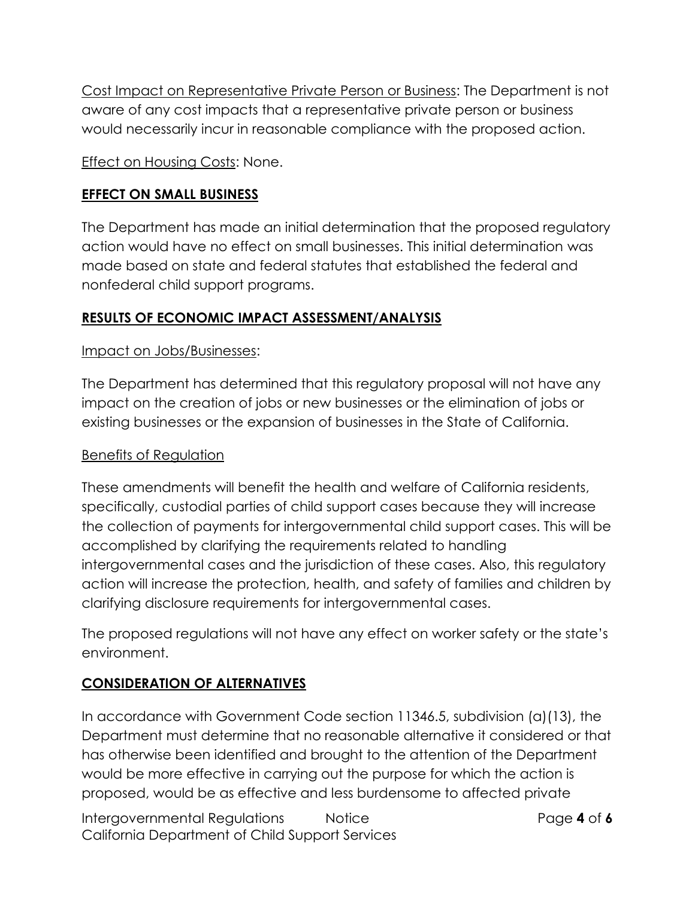Cost Impact on Representative Private Person or Business: The Department is not aware of any cost impacts that a representative private person or business would necessarily incur in reasonable compliance with the proposed action.

**Effect on Housing Costs: None.** 

#### **EFFECT ON SMALL BUSINESS**

The Department has made an initial determination that the proposed regulatory action would have no effect on small businesses. This initial determination was made based on state and federal statutes that established the federal and nonfederal child support programs.

## **RESULTS OF ECONOMIC IMPACT ASSESSMENT/ANALYSIS**

#### Impact on Jobs/Businesses:

The Department has determined that this regulatory proposal will not have any impact on the creation of jobs or new businesses or the elimination of jobs or existing businesses or the expansion of businesses in the State of California.

#### Benefits of Regulation

These amendments will benefit the health and welfare of California residents, specifically, custodial parties of child support cases because they will increase the collection of payments for intergovernmental child support cases. This will be accomplished by clarifying the requirements related to handling intergovernmental cases and the jurisdiction of these cases. Also, this regulatory action will increase the protection, health, and safety of families and children by clarifying disclosure requirements for intergovernmental cases.

The proposed regulations will not have any effect on worker safety or the state's environment.

## **CONSIDERATION OF ALTERNATIVES**

In accordance with Government Code section 11346.5, subdivision (a)(13), the Department must determine that no reasonable alternative it considered or that has otherwise been identified and brought to the attention of the Department would be more effective in carrying out the purpose for which the action is proposed, would be as effective and less burdensome to affected private

Intergovernmental Regulations Notice Page **4** of **6** California Department of Child Support Services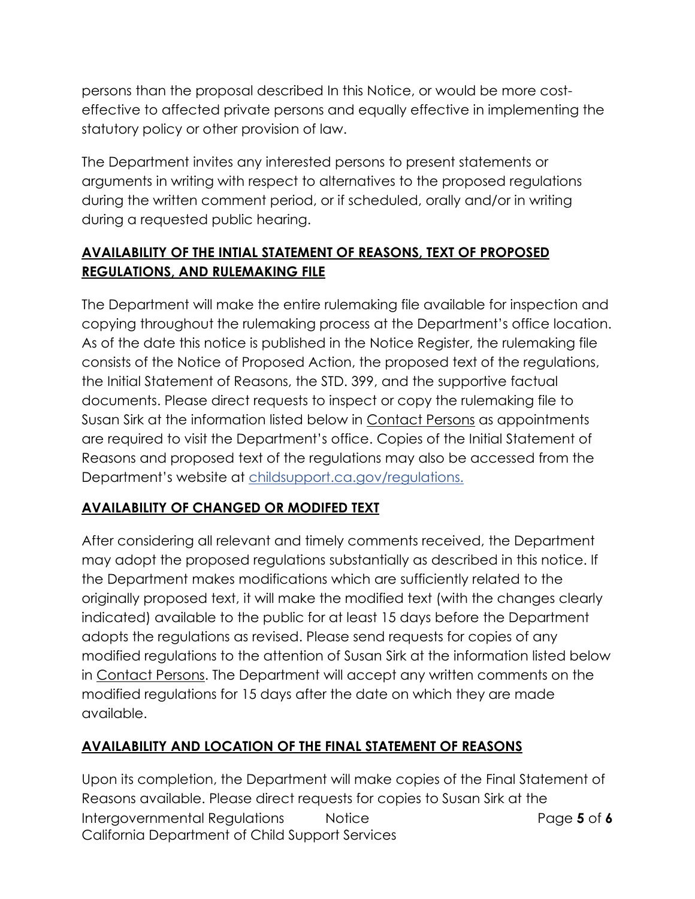persons than the proposal described In this Notice, or would be more costeffective to affected private persons and equally effective in implementing the statutory policy or other provision of law.

The Department invites any interested persons to present statements or arguments in writing with respect to alternatives to the proposed regulations during the written comment period, or if scheduled, orally and/or in writing during a requested public hearing.

## **AVAILABILITY OF THE INTIAL STATEMENT OF REASONS, TEXT OF PROPOSED REGULATIONS, AND RULEMAKING FILE**

The Department will make the entire rulemaking file available for inspection and copying throughout the rulemaking process at the Department's office location. As of the date this notice is published in the Notice Register, the rulemaking file consists of the Notice of Proposed Action, the proposed text of the regulations, the Initial Statement of Reasons, the STD. 399, and the supportive factual documents. Please direct requests to inspect or copy the rulemaking file to Susan Sirk at the information listed below in Contact Persons as appointments are required to visit the Department's office. Copies of the Initial Statement of Reasons and proposed text of the regulations may also be accessed from the Department's website at [childsupport.ca.gov/regulations.](https://childsupport.ca.gov/regulations/)

## **AVAILABILITY OF CHANGED OR MODIFED TEXT**

After considering all relevant and timely comments received, the Department may adopt the proposed regulations substantially as described in this notice. If the Department makes modifications which are sufficiently related to the originally proposed text, it will make the modified text (with the changes clearly indicated) available to the public for at least 15 days before the Department adopts the regulations as revised. Please send requests for copies of any modified regulations to the attention of Susan Sirk at the information listed below in Contact Persons. The Department will accept any written comments on the modified regulations for 15 days after the date on which they are made available.

## **AVAILABILITY AND LOCATION OF THE FINAL STATEMENT OF REASONS**

Intergovernmental Regulations Notice Page **5** of **6** California Department of Child Support Services Upon its completion, the Department will make copies of the Final Statement of Reasons available. Please direct requests for copies to Susan Sirk at the